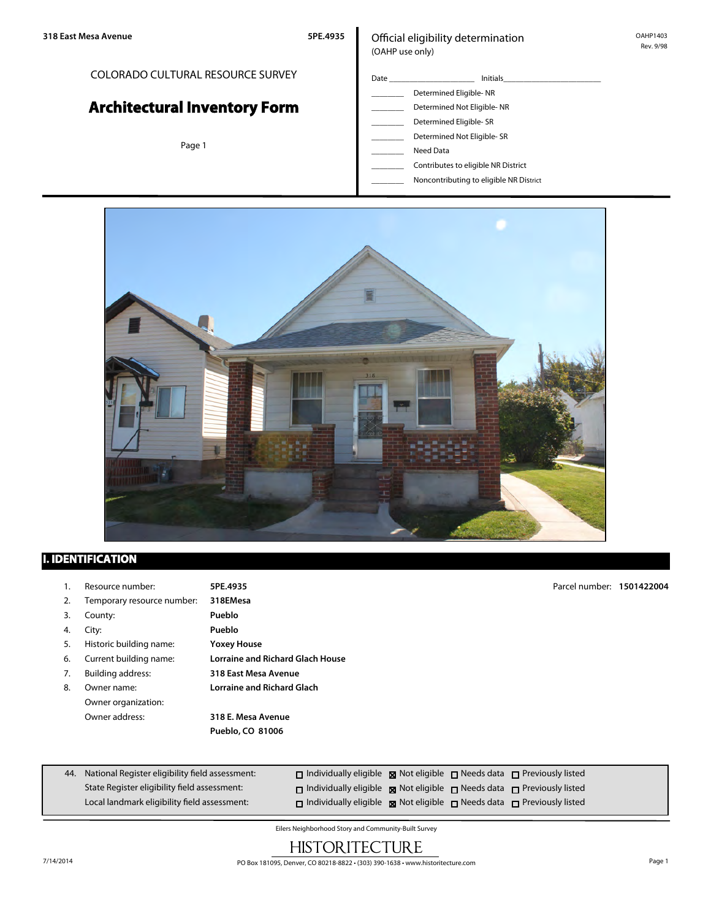#### COLORADO CULTURAL RESOURCE SURVEY

# **Architectural Inventory Form**

Page 1

#### Official eligibility determination (OAHP use only)

- Date \_\_\_\_\_\_\_\_\_\_\_\_\_\_\_\_\_\_\_\_\_ Initials\_\_\_\_\_\_\_\_\_\_\_\_\_\_\_\_\_\_\_\_\_\_\_\_ \_\_\_\_\_\_\_\_ Determined Eligible- NR Determined Not Eligible- NR Determined Eligible- SR Determined Not Eligible- SR Need Data
	- \_\_\_\_\_\_\_\_ Contributes to eligible NR District
	- \_\_\_\_\_\_\_\_ Noncontributing to eligible NR District



## **I. IDENTIFICATION**

|    | Resource number:           | 5PE.4935                                | Parcel number: 1501422004 |  |
|----|----------------------------|-----------------------------------------|---------------------------|--|
| 2. | Temporary resource number: | 318EMesa                                |                           |  |
| 3. | County:                    | Pueblo                                  |                           |  |
| 4. | City:                      | Pueblo                                  |                           |  |
| 5. | Historic building name:    | <b>Yoxey House</b>                      |                           |  |
| 6. | Current building name:     | <b>Lorraine and Richard Glach House</b> |                           |  |
| 7. | Building address:          | 318 East Mesa Avenue                    |                           |  |
| 8. | Owner name:                | <b>Lorraine and Richard Glach</b>       |                           |  |
|    | Owner organization:        |                                         |                           |  |
|    | Owner address:             | 318 E. Mesa Avenue                      |                           |  |
|    |                            | Pueblo, CO 81006                        |                           |  |
|    |                            |                                         |                           |  |
|    |                            |                                         |                           |  |

| 44. National Register eligibility field assessment: | $\Box$ Individually eligible $\boxtimes$ Not eligible $\Box$ Needs data $\Box$ Previously listed |  |  |
|-----------------------------------------------------|--------------------------------------------------------------------------------------------------|--|--|
| State Register eligibility field assessment:        | $\Box$ Individually eligible $\boxtimes$ Not eligible $\Box$ Needs data $\Box$ Previously listed |  |  |
| Local landmark eligibility field assessment:        | $\Box$ Individually eligible $\boxtimes$ Not eligible $\Box$ Needs data $\Box$ Previously listed |  |  |

Eilers Neighborhood Story and Community-Built Survey

# **HISTORITECTURE**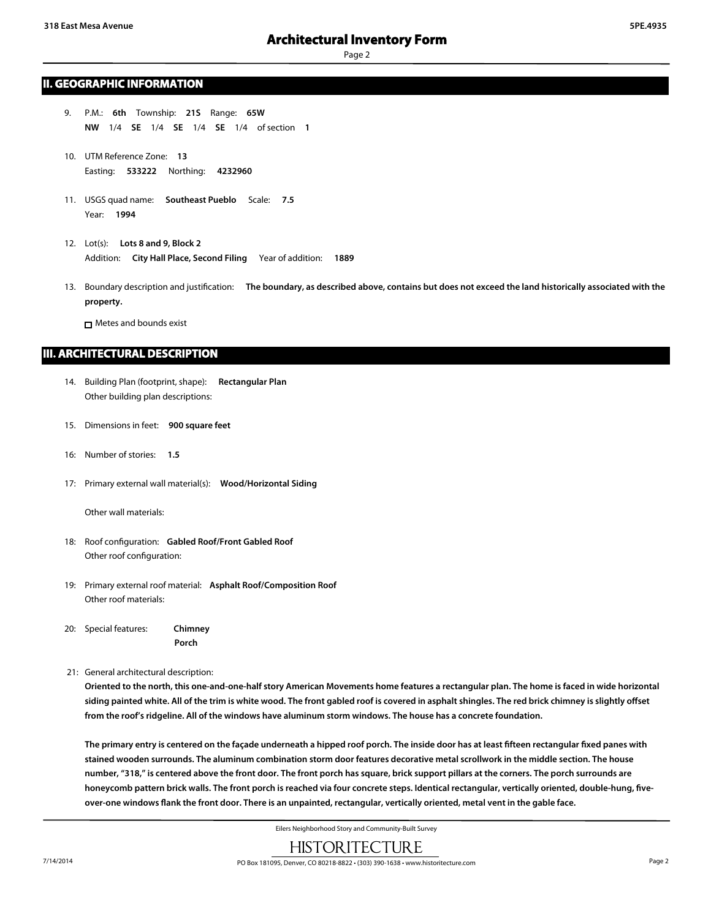#### **II. GEOGRAPHIC INFORMATION**

- 9. P.M.: **6th** Township: **21S** Range: **65W NW** 1/4 **SE** 1/4 **SE** 1/4 **SE** 1/4 of section **1**
- 10. UTM Reference Zone: **13** Easting: **533222** Northing: **4232960**
- 11. USGS quad name: **Southeast Pueblo** Scale: **7.5** Year: **1994**
- 12. Lot(s): **Lots 8 and 9, Block 2** Addition: **City Hall Place, Second Filing** Year of addition: **1889**
- 13. Boundary description and justification: **The boundary, as described above, contains but does not exceed the land historically associated with the property.**

**n** Metes and bounds exist

#### **III. ARCHITECTURAL DESCRIPTION**

- 14. Building Plan (footprint, shape): **Rectangular Plan** Other building plan descriptions:
- 15. Dimensions in feet: **900 square feet**
- 16: Number of stories: **1.5**
- 17: Primary external wall material(s): **Wood/Horizontal Siding**

Other wall materials:

- 18: Roof configuration: **Gabled Roof/Front Gabled Roof** Other roof configuration:
- 19: Primary external roof material: **Asphalt Roof/Composition Roof** Other roof materials:
- 20: Special features: **Chimney Porch**
- 21: General architectural description:

**Oriented to the north, this one-and-one-half story American Movements home features a rectangular plan. The home is faced in wide horizontal siding painted white. All of the trim is white wood. The front gabled roof is covered in asphalt shingles. The red brick chimney is slightly offset from the roof's ridgeline. All of the windows have aluminum storm windows. The house has a concrete foundation.**

**The primary entry is centered on the façade underneath a hipped roof porch. The inside door has at least fifteen rectangular fixed panes with stained wooden surrounds. The aluminum combination storm door features decorative metal scrollwork in the middle section. The house number, "318," is centered above the front door. The front porch has square, brick support pillars at the corners. The porch surrounds are honeycomb pattern brick walls. The front porch is reached via four concrete steps. Identical rectangular, vertically oriented, double-hung, fiveover-one windows flank the front door. There is an unpainted, rectangular, vertically oriented, metal vent in the gable face.**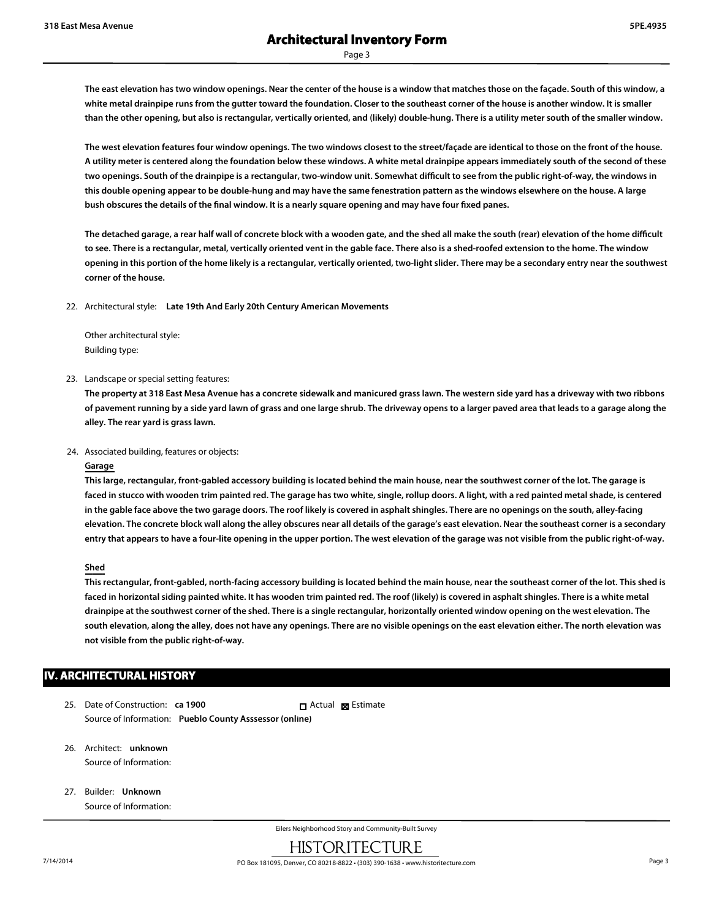**The east elevation has two window openings. Near the center of the house is a window that matches those on the façade. South of this window, a white metal drainpipe runs from the gutter toward the foundation. Closer to the southeast corner of the house is another window. It is smaller than the other opening, but also is rectangular, vertically oriented, and (likely) double-hung. There is a utility meter south of the smaller window.**

**The west elevation features four window openings. The two windows closest to the street/façade are identical to those on the front of the house. A utility meter is centered along the foundation below these windows. A white metal drainpipe appears immediately south of the second of these two openings. South of the drainpipe is a rectangular, two-window unit. Somewhat difficult to see from the public right-of-way, the windows in this double opening appear to be double-hung and may have the same fenestration pattern as the windows elsewhere on the house. A large bush obscures the details of the final window. It is a nearly square opening and may have four fixed panes.**

**The detached garage, a rear half wall of concrete block with a wooden gate, and the shed all make the south (rear) elevation of the home difficult to see. There is a rectangular, metal, vertically oriented vent in the gable face. There also is a shed-roofed extension to the home. The window opening in this portion of the home likely is a rectangular, vertically oriented, two-light slider. There may be a secondary entry near the southwest corner of the house.**

22. Architectural style: **Late 19th And Early 20th Century American Movements**

Other architectural style: Building type:

23. Landscape or special setting features:

**The property at 318 East Mesa Avenue has a concrete sidewalk and manicured grass lawn. The western side yard has a driveway with two ribbons of pavement running by a side yard lawn of grass and one large shrub. The driveway opens to a larger paved area that leads to a garage along the alley. The rear yard is grass lawn.**

24. Associated building, features or objects:

#### **Garage**

**This large, rectangular, front-gabled accessory building is located behind the main house, near the southwest corner of the lot. The garage is faced in stucco with wooden trim painted red. The garage has two white, single, rollup doors. A light, with a red painted metal shade, is centered in the gable face above the two garage doors. The roof likely is covered in asphalt shingles. There are no openings on the south, alley-facing elevation. The concrete block wall along the alley obscures near all details of the garage's east elevation. Near the southeast corner is a secondary entry that appears to have a four-lite opening in the upper portion. The west elevation of the garage was not visible from the public right-of-way.**

#### **Shed**

**This rectangular, front-gabled, north-facing accessory building is located behind the main house, near the southeast corner of the lot. This shed is faced in horizontal siding painted white. It has wooden trim painted red. The roof (likely) is covered in asphalt shingles. There is a white metal drainpipe at the southwest corner of the shed. There is a single rectangular, horizontally oriented window opening on the west elevation. The south elevation, along the alley, does not have any openings. There are no visible openings on the east elevation either. The north elevation was not visible from the public right-of-way.**

#### **IV. ARCHITECTURAL HISTORY**

- 25. Date of Construction: **ca 1900** Source of Information: **Pueblo County Asssessor (online)** Actual **Estimate**
- 26. Architect: **unknown** Source of Information:
- 27. Builder: **Unknown** Source of Information: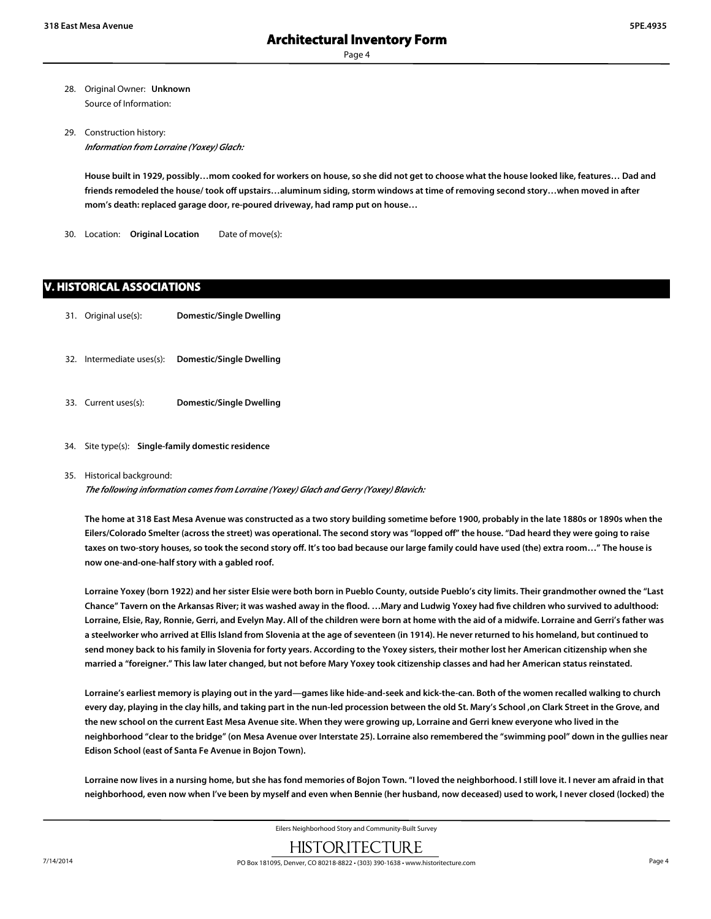- 28. Original Owner: **Unknown** Source of Information:
- 29. Construction history: *Information from Lorraine (Yoxey) Glach:*

**House built in 1929, possibly…mom cooked for workers on house, so she did not get to choose what the house looked like, features… Dad and friends remodeled the house/ took off upstairs…aluminum siding, storm windows at time of removing second story…when moved in after mom's death: replaced garage door, re-poured driveway, had ramp put on house…**

30. Location: **Original Location** Date of move(s):

#### **V. HISTORICAL ASSOCIATIONS**

- 31. Original use(s): **Domestic/Single Dwelling**
- 32. Intermediate uses(s): **Domestic/Single Dwelling**
- 33. Current uses(s): **Domestic/Single Dwelling**
- 34. Site type(s): **Single-family domestic residence**

#### 35. Historical background:

*The following information comes from Lorraine (Yoxey) Glach and Gerry (Yoxey) Blavich:*

**The home at 318 East Mesa Avenue was constructed as a two story building sometime before 1900, probably in the late 1880s or 1890s when the Eilers/Colorado Smelter (across the street) was operational. The second story was "lopped off" the house. "Dad heard they were going to raise taxes on two-story houses, so took the second story off. It's too bad because our large family could have used (the) extra room…" The house is now one-and-one-half story with a gabled roof.**

**Lorraine Yoxey (born 1922) and her sister Elsie were both born in Pueblo County, outside Pueblo's city limits. Their grandmother owned the "Last Chance" Tavern on the Arkansas River; it was washed away in the flood. …Mary and Ludwig Yoxey had five children who survived to adulthood: Lorraine, Elsie, Ray, Ronnie, Gerri, and Evelyn May. All of the children were born at home with the aid of a midwife. Lorraine and Gerri's father was a steelworker who arrived at Ellis Island from Slovenia at the age of seventeen (in 1914). He never returned to his homeland, but continued to send money back to his family in Slovenia for forty years. According to the Yoxey sisters, their mother lost her American citizenship when she married a "foreigner." This law later changed, but not before Mary Yoxey took citizenship classes and had her American status reinstated.**

**Lorraine's earliest memory is playing out in the yard—games like hide-and-seek and kick-the-can. Both of the women recalled walking to church every day, playing in the clay hills, and taking part in the nun-led procession between the old St. Mary's School ,on Clark Street in the Grove, and the new school on the current East Mesa Avenue site. When they were growing up, Lorraine and Gerri knew everyone who lived in the neighborhood "clear to the bridge" (on Mesa Avenue over Interstate 25). Lorraine also remembered the "swimming pool" down in the gullies near Edison School (east of Santa Fe Avenue in Bojon Town).**

**Lorraine now lives in a nursing home, but she has fond memories of Bojon Town. "I loved the neighborhood. I still love it. I never am afraid in that neighborhood, even now when I've been by myself and even when Bennie (her husband, now deceased) used to work, I never closed (locked) the**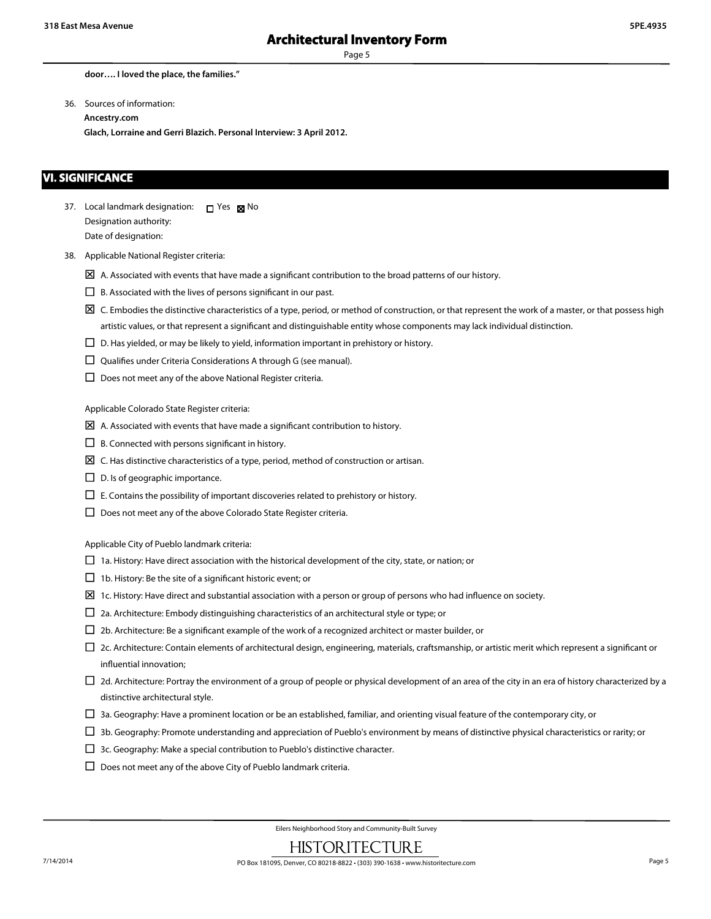**door…. I loved the place, the families."**

36. Sources of information:

**Ancestry.com**

**Glach, Lorraine and Gerri Blazich. Personal Interview: 3 April 2012.**

#### **VI. SIGNIFICANCE**

37. Local landmark designation: D Yes M No Designation authority: Date of designation:

- 38. Applicable National Register criteria:
	- $\boxtimes$  A. Associated with events that have made a significant contribution to the broad patterns of our history.
	- $\square$  B. Associated with the lives of persons significant in our past.
	- $\boxtimes$  C. Embodies the distinctive characteristics of a type, period, or method of construction, or that represent the work of a master, or that possess high artistic values, or that represent a significant and distinguishable entity whose components may lack individual distinction.
	- $\square$  D. Has yielded, or may be likely to yield, information important in prehistory or history.
	- $\square$  Qualifies under Criteria Considerations A through G (see manual).
	- $\square$  Does not meet any of the above National Register criteria.

Applicable Colorado State Register criteria:

- $\boxtimes$  A. Associated with events that have made a significant contribution to history.
- $\square$  B. Connected with persons significant in history.
- $\boxtimes$  C. Has distinctive characteristics of a type, period, method of construction or artisan.
- $\square$  D. Is of geographic importance.
- $\Box$  E. Contains the possibility of important discoveries related to prehistory or history.
- $\square$  Does not meet any of the above Colorado State Register criteria.

Applicable City of Pueblo landmark criteria:

- $\Box$  1a. History: Have direct association with the historical development of the city, state, or nation; or
- $\square$  1b. History: Be the site of a significant historic event; or
- $\Sigma$  1c. History: Have direct and substantial association with a person or group of persons who had influence on society.
- $\square$  2a. Architecture: Embody distinguishing characteristics of an architectural style or type; or
- $\square$  2b. Architecture: Be a significant example of the work of a recognized architect or master builder, or
- $\Box$  2c. Architecture: Contain elements of architectural design, engineering, materials, craftsmanship, or artistic merit which represent a significant or influential innovation;
- $\Box$  2d. Architecture: Portray the environment of a group of people or physical development of an area of the city in an era of history characterized by a distinctive architectural style.
- $\Box$  3a. Geography: Have a prominent location or be an established, familiar, and orienting visual feature of the contemporary city, or
- $\Box$  3b. Geography: Promote understanding and appreciation of Pueblo's environment by means of distinctive physical characteristics or rarity; or
- $\Box$  3c. Geography: Make a special contribution to Pueblo's distinctive character.
- $\square$  Does not meet any of the above City of Pueblo landmark criteria.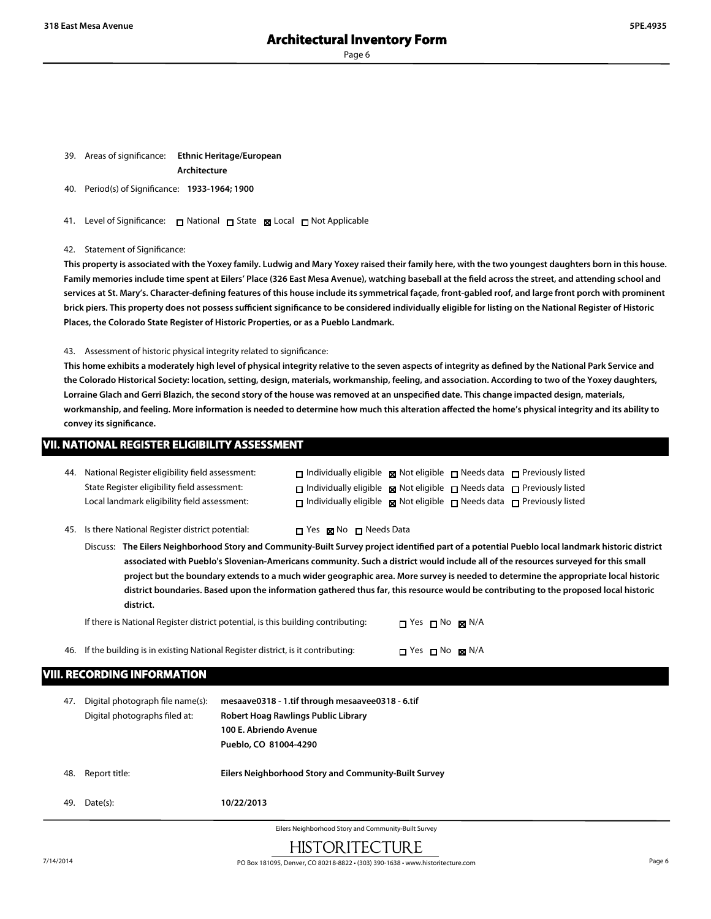- 39. Areas of significance: **Ethnic Heritage/European Architecture**
- 40. Period(s) of Significance: **1933-1964; 1900**
- 41. Level of Significance: □ National □ State 図 Local □ Not Applicable

#### 42. Statement of Significance:

**This property is associated with the Yoxey family. Ludwig and Mary Yoxey raised their family here, with the two youngest daughters born in this house. Family memories include time spent at Eilers' Place (326 East Mesa Avenue), watching baseball at the field across the street, and attending school and services at St. Mary's. Character-defining features of this house include its symmetrical façade, front-gabled roof, and large front porch with prominent brick piers. This property does not possess sufficient significance to be considered individually eligible for listing on the National Register of Historic Places, the Colorado State Register of Historic Properties, or as a Pueblo Landmark.**

#### 43. Assessment of historic physical integrity related to significance:

**This home exhibits a moderately high level of physical integrity relative to the seven aspects of integrity as defined by the National Park Service and the Colorado Historical Society: location, setting, design, materials, workmanship, feeling, and association. According to two of the Yoxey daughters, Lorraine Glach and Gerri Blazich, the second story of the house was removed at an unspecified date. This change impacted design, materials,** workmanship, and feeling. More information is needed to determine how much this alteration affected the home's physical integrity and its ability to **convey its significance.**

#### **VII. NATIONAL REGISTER ELIGIBILITY ASSESSMENT**

| 44. National Register eligibility field assessment: | $\Box$ Individually eligible $\boxtimes$ Not eligible $\Box$ Needs data $\Box$ Previously listed |  |  |
|-----------------------------------------------------|--------------------------------------------------------------------------------------------------|--|--|
| State Register eligibility field assessment:        | $\Box$ Individually eligible $\Box$ Not eligible $\Box$ Needs data $\Box$ Previously listed      |  |  |
| Local landmark eligibility field assessment:        | $\Box$ Individually eligible $\Box$ Not eligible $\Box$ Needs data $\Box$ Previously listed      |  |  |

45. Is there National Register district potential:  $\Box$  Yes  $\boxtimes$  No  $\Box$  Needs Data

Discuss: **The Eilers Neighborhood Story and Community-Built Survey project identified part of a potential Pueblo local landmark historic district associated with Pueblo's Slovenian-Americans community. Such a district would include all of the resources surveyed for this small project but the boundary extends to a much wider geographic area. More survey is needed to determine the appropriate local historic district boundaries. Based upon the information gathered thus far, this resource would be contributing to the proposed local historic district.**

If there is National Register district potential, is this building contributing:  $\Box$  Yes  $\Box$  No  $\Box$  N/A

46. If the building is in existing National Register district, is it contributing:  $\Box$  Yes  $\Box$  No  $\boxtimes$  N/A

### **VIII. RECORDING INFORMATION**

| 47. | Digital photograph file name(s):<br>Digital photographs filed at: | mesaave0318 - 1.tif through mesaavee0318 - 6.tif<br>Robert Hoag Rawlings Public Library<br>100 E. Abriendo Avenue<br>Pueblo, CO 81004-4290 |
|-----|-------------------------------------------------------------------|--------------------------------------------------------------------------------------------------------------------------------------------|
| 48. | Report title:                                                     | Eilers Neighborhood Story and Community-Built Survey                                                                                       |
| 49. | Date(s):                                                          | 10/22/2013                                                                                                                                 |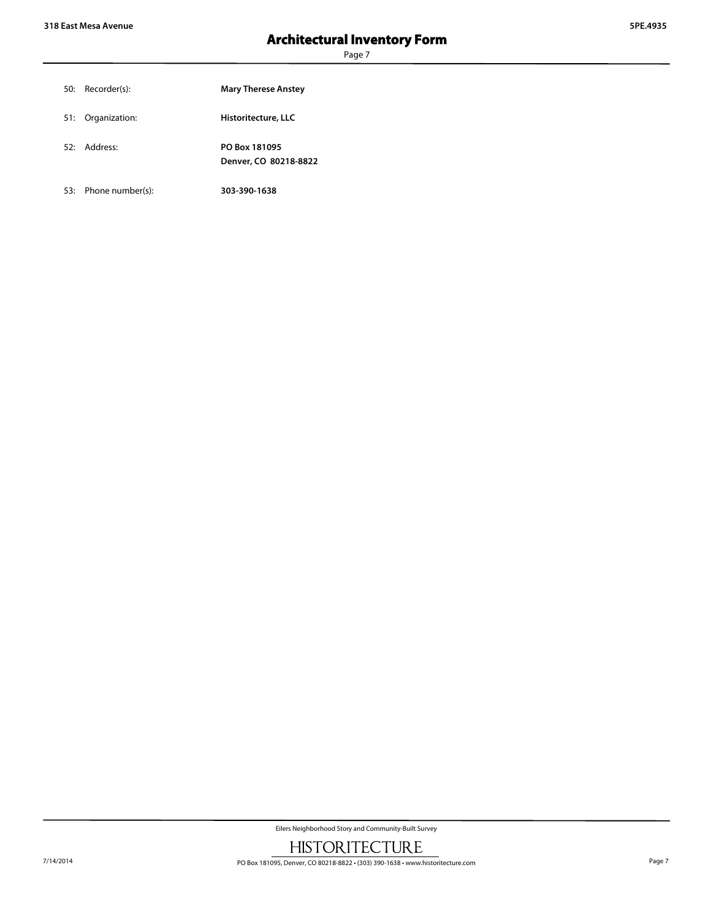| 50: Recorder(s):  | <b>Mary Therese Anstey</b>             |
|-------------------|----------------------------------------|
| 51: Organization: | Historitecture, LLC                    |
| 52: Address:      | PO Box 181095<br>Denver, CO 80218-8822 |

53: Phone number(s): **303-390-1638**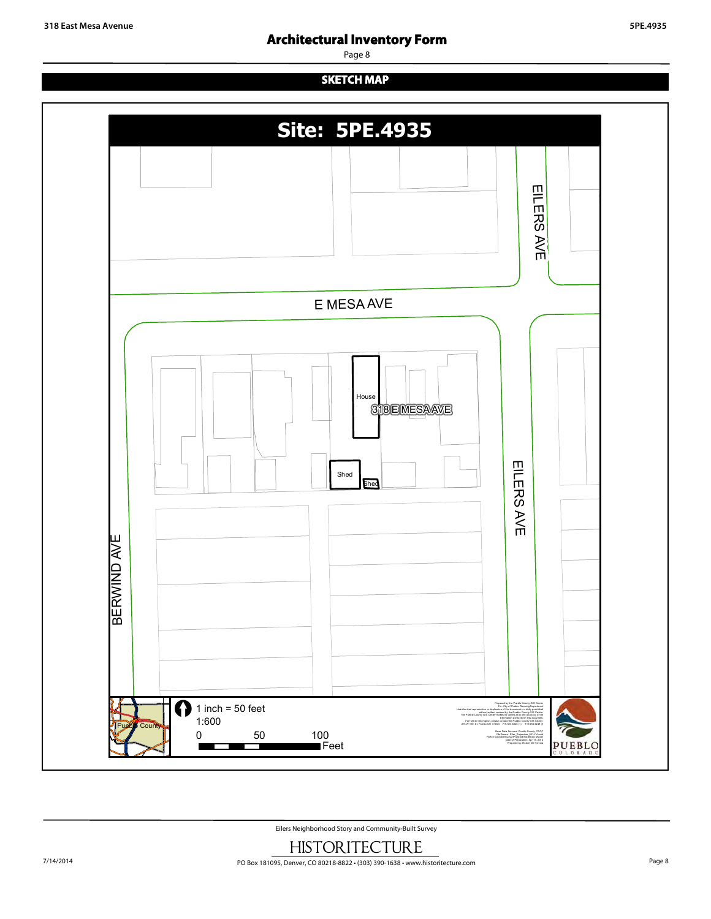# **SKETCH MAP**